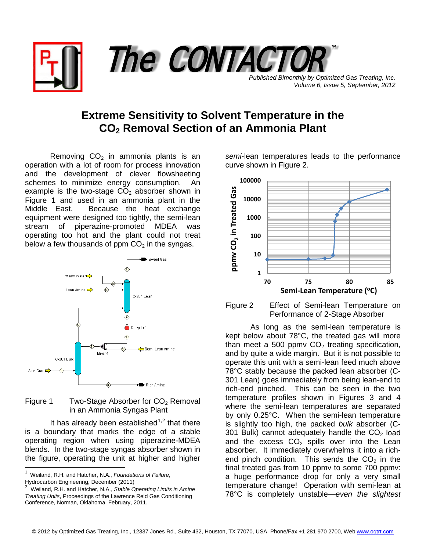

*Volume 6, Issue 5, September, 2012*

## **Extreme Sensitivity to Solvent Temperature in the CO2 Removal Section of an Ammonia Plant**

Removing  $CO<sub>2</sub>$  in ammonia plants is an operation with a lot of room for process innovation and the development of clever flowsheeting schemes to minimize energy consumption. An example is the two-stage  $CO<sub>2</sub>$  absorber shown in Figure 1 and used in an ammonia plant in the Middle East. Because the heat exchange equipment were designed too tightly, the semi-lean stream of piperazine-promoted MDEA was operating too hot and the plant could not treat below a few thousands of ppm  $CO<sub>2</sub>$  in the syngas.



## Figure 1 Two-Stage Absorber for  $CO<sub>2</sub>$  Removal in an Ammonia Syngas Plant

It has already been established<sup>[1](#page-0-0),[2](#page-0-1)</sup> that there is a boundary that marks the edge of a stable operating region when using piperazine-MDEA blends. In the two-stage syngas absorber shown in the figure, operating the unit at higher and higher

*semi*-lean temperatures leads to the performance curve shown in Figure 2.



Figure 2 Effect of Semi-lean Temperature on Performance of 2-Stage Absorber

As long as the semi-lean temperature is kept below about 78°C, the treated gas will more than meet a 500 ppmv  $CO<sub>2</sub>$  treating specification, and by quite a wide margin. But it is not possible to operate this unit with a semi-lean feed much above 78°C stably because the packed lean absorber (C-301 Lean) goes immediately from being lean-end to rich-end pinched. This can be seen in the two temperature profiles shown in Figures 3 and 4 where the semi-lean temperatures are separated by only 0.25°C. When the semi-lean temperature is slightly too high, the packed *bulk* absorber (C-301 Bulk) cannot adequately handle the  $CO<sub>2</sub>$  load and the excess  $CO<sub>2</sub>$  spills over into the Lean absorber. It immediately overwhelms it into a richend pinch condition. This sends the  $CO<sub>2</sub>$  in the final treated gas from 10 ppmv to some 700 ppmv: a huge performance drop for only a very small temperature change! Operation with semi-lean at 78°C is completely unstable—*even the slightest* 

<span id="page-0-0"></span> <sup>1</sup> Weiland, R.H. and Hatcher, N.A., *Foundations of Failure*, Hydrocarbon Engineering, December (2011)<br><sup>2</sup> Weiland B.H. and Hataber, N.A., Stable G

<span id="page-0-1"></span>Weiland, R.H. and Hatcher, N.A., *Stable Operating Limits in Amine Treating Units*, Proceedings of the Lawrence Reid Gas Conditioning Conference, Norman, Oklahoma, February, 2011.